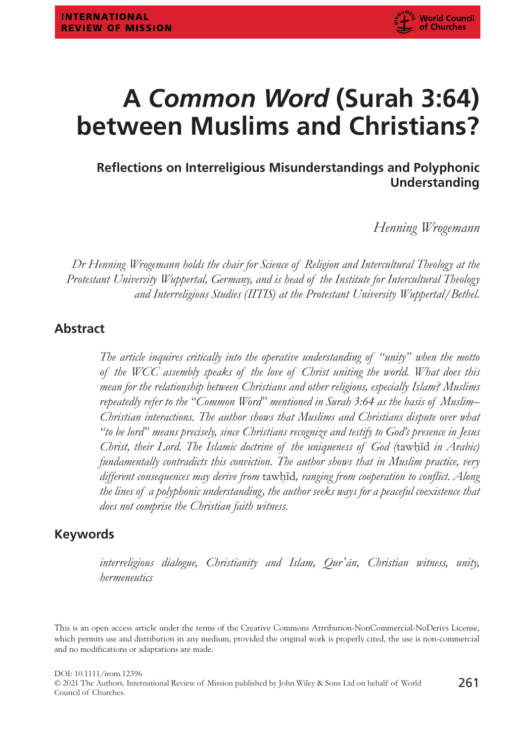# **A** *Common Word* **(Surah 3:64) between Muslims and Christians?**

# **Reflections on Interreligious Misunderstandings and Polyphonic Understanding**

*Henning Wrogemann*

*Dr Henning Wrogemann holds the chair for Science of Religion and Intercultural Theology at the Protestant University Wuppertal, Germany, and is head of the Institute for Intercultural Theology and Interreligious Studies (IITIS) at the Protestant University Wuppertal/Bethel.*

#### **Abstract**

*The article inquires critically into the operative understanding of "unity" when the motto of the WCC assembly speaks of the love of Christ uniting the world. What does this mean for the relationship between Christians and other religions, especially Islam? Muslims repeatedly refer to the "Common Word" mentioned in Surah 3:64 as the basis of Muslim– Christian interactions. The author shows that Muslims and Christians dispute over what "to be lord" means precisely, since Christians recognize and testify to God's presence in Jesus Christ, their Lord. The Islamic doctrine of the uniqueness of God (tawhid in Arabic) fundamentally contradicts this conviction. The author shows that in Muslim practice, very different consequences may derive from* tawḥīd*, ranging from cooperation to conflict. Along the lines of a polyphonic understanding, the author seeks ways for a peaceful coexistence that does not comprise the Christian faith witness.*

#### **Keywords**

*interreligious dialogue, Christianity and Islam, Qur'ān, Christian witness, unity, hermeneutics*

This is an open access article under the terms of the [Creative Commons Attribution-NonCommercial-NoDerivs](http://creativecommons.org/licenses/by-nc-nd/4.0/) License, which permits use and distribution in any medium, provided the original work is properly cited, the use is non-commercial and no modifications or adaptations are made.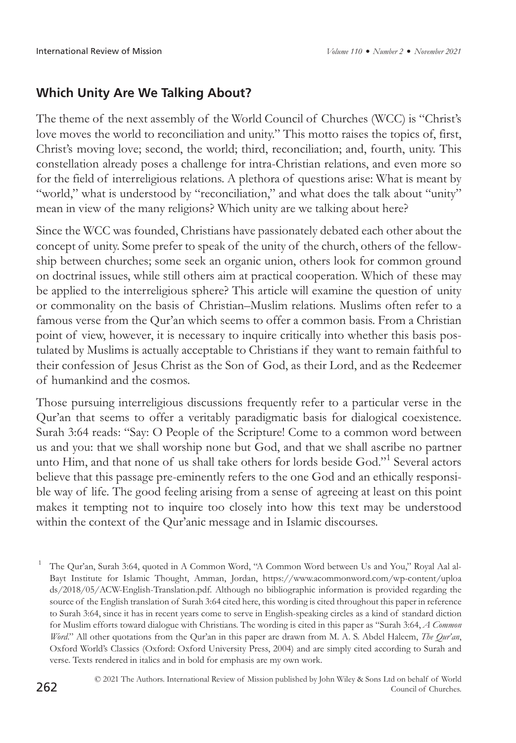# **Which Unity Are We Talking About?**

The theme of the next assembly of the World Council of Churches (WCC) is "Christ's love moves the world to reconciliation and unity." This motto raises the topics of, first, Christ's moving love; second, the world; third, reconciliation; and, fourth, unity. This constellation already poses a challenge for intra-Christian relations, and even more so for the field of interreligious relations. A plethora of questions arise: What is meant by "world," what is understood by "reconciliation," and what does the talk about "unity" mean in view of the many religions? Which unity are we talking about here?

Since the WCC was founded, Christians have passionately debated each other about the concept of unity. Some prefer to speak of the unity of the church, others of the fellowship between churches; some seek an organic union, others look for common ground on doctrinal issues, while still others aim at practical cooperation. Which of these may be applied to the interreligious sphere? This article will examine the question of unity or commonality on the basis of Christian–Muslim relations. Muslims often refer to a famous verse from the Qur'an which seems to offer a common basis. From a Christian point of view, however, it is necessary to inquire critically into whether this basis postulated by Muslims is actually acceptable to Christians if they want to remain faithful to their confession of Jesus Christ as the Son of God, as their Lord, and as the Redeemer of humankind and the cosmos.

Those pursuing interreligious discussions frequently refer to a particular verse in the Qur'an that seems to offer a veritably paradigmatic basis for dialogical coexistence. Surah 3:64 reads: "Say: O People of the Scripture! Come to a common word between us and you: that we shall worship none but God, and that we shall ascribe no partner unto Him, and that none of us shall take others for lords beside God."<sup>1</sup> Several actors believe that this passage pre-eminently refers to the one God and an ethically responsible way of life. The good feeling arising from a sense of agreeing at least on this point makes it tempting not to inquire too closely into how this text may be understood within the context of the Qur'anic message and in Islamic discourses.

<sup>1</sup> The Qur'an, Surah 3:64, quoted in A Common Word, "A Common Word between Us and You," Royal Aal al-Bayt Institute for Islamic Thought, Amman, Jordan, [https://www.acommonword.com/wp-content/uploa](https://www.acommonword.com/wp-content/uploads/2018/05/ACW-English-Translation.pdf) [ds/2018/05/ACW-English-Translation.pdf](https://www.acommonword.com/wp-content/uploads/2018/05/ACW-English-Translation.pdf). Although no bibliographic information is provided regarding the source of the English translation of Surah 3:64 cited here, this wording is cited throughout this paper in reference to Surah 3:64, since it has in recent years come to serve in English-speaking circles as a kind of standard diction for Muslim efforts toward dialogue with Christians. The wording is cited in this paper as "Surah 3:64, *A Common Word*." All other quotations from the Qur'an in this paper are drawn from M. A. S. Abdel Haleem, *The Qur'an*, Oxford World's Classics (Oxford: Oxford University Press, 2004) and are simply cited according to Surah and verse. Texts rendered in italics and in bold for emphasis are my own work.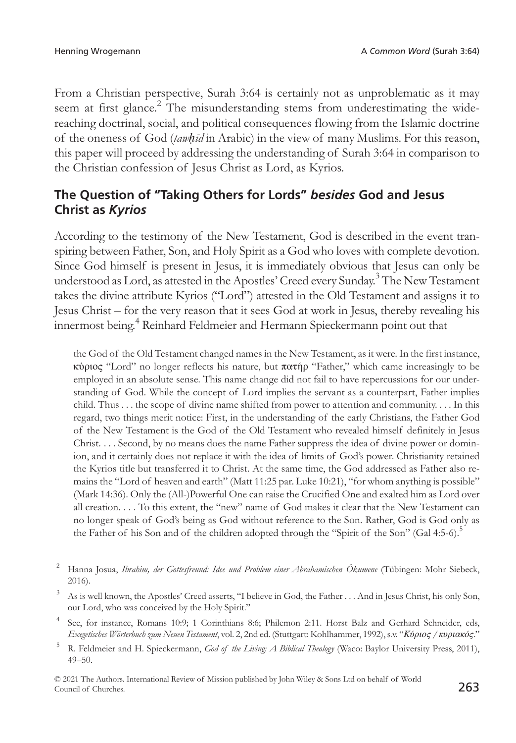From a Christian perspective, Surah 3:64 is certainly not as unproblematic as it may seem at first glance.<sup>2</sup> The misunderstanding stems from underestimating the widereaching doctrinal, social, and political consequences flowing from the Islamic doctrine of the oneness of God (*tawḥīd* in Arabic) in the view of many Muslims. For this reason, this paper will proceed by addressing the understanding of Surah 3:64 in comparison to the Christian confession of Jesus Christ as Lord, as Kyrios.

### **The Question of "Taking Others for Lords"** *besides* **God and Jesus Christ as** *Kyrios*

According to the testimony of the New Testament, God is described in the event transpiring between Father, Son, and Holy Spirit as a God who loves with complete devotion. Since God himself is present in Jesus, it is immediately obvious that Jesus can only be understood as Lord, as attested in the Apostles' Creed every Sunday.<sup>3</sup> The New Testament takes the divine attribute Kyrios ("Lord") attested in the Old Testament and assigns it to Jesus Christ – for the very reason that it sees God at work in Jesus, thereby revealing his innermost being.4 Reinhard Feldmeier and Hermann Spieckermann point out that

the God of the Old Testament changed names in the New Testament, as it were. In the first instance, κύριος "Lord" no longer reflects his nature, but πατήρ "Father," which came increasingly to be employed in an absolute sense. This name change did not fail to have repercussions for our understanding of God. While the concept of Lord implies the servant as a counterpart, Father implies child. Thus . . . the scope of divine name shifted from power to attention and community. . . . In this regard, two things merit notice: First, in the understanding of the early Christians, the Father God of the New Testament is the God of the Old Testament who revealed himself definitely in Jesus Christ. . . . Second, by no means does the name Father suppress the idea of divine power or dominion, and it certainly does not replace it with the idea of limits of God's power. Christianity retained the Kyrios title but transferred it to Christ. At the same time, the God addressed as Father also remains the "Lord of heaven and earth" (Matt 11:25 par. Luke 10:21), "for whom anything is possible" (Mark 14:36). Only the (All-)Powerful One can raise the Crucified One and exalted him as Lord over all creation. . . . To this extent, the "new" name of God makes it clear that the New Testament can no longer speak of God's being as God without reference to the Son. Rather, God is God only as the Father of his Son and of the children adopted through the "Spirit of the Son" (Gal 4:5-6).<sup>5</sup>

<sup>263</sup> © 2021 The Authors. International Review of Mission published by John Wiley & Sons Ltd on behalf of World Council of Churches.

<sup>2</sup> Hanna Josua, *Ibrahim, der Gottesfreund: Idee und Problem einer Abrahamischen Ökumene* (Tübingen: Mohr Siebeck, 2016).

<sup>3</sup> As is well known, the Apostles' Creed asserts, "I believe in God, the Father . . . And in Jesus Christ, his only Son, our Lord, who was conceived by the Holy Spirit."

See, for instance, Romans 10:9; 1 Corinthians 8:6; Philemon 2:11. Horst Balz and Gerhard Schneider, eds, *Exegetisches Wörterbuch zum Neuen Testament*, vol. 2, 2nd ed. (Stuttgart: Kohlhammer, 1992), s.v. "*Κύριος / κυριακός*."

<sup>5</sup> R. Feldmeier and H. Spieckermann, *God of the Living: A Biblical Theology* (Waco: Baylor University Press, 2011), 49–50.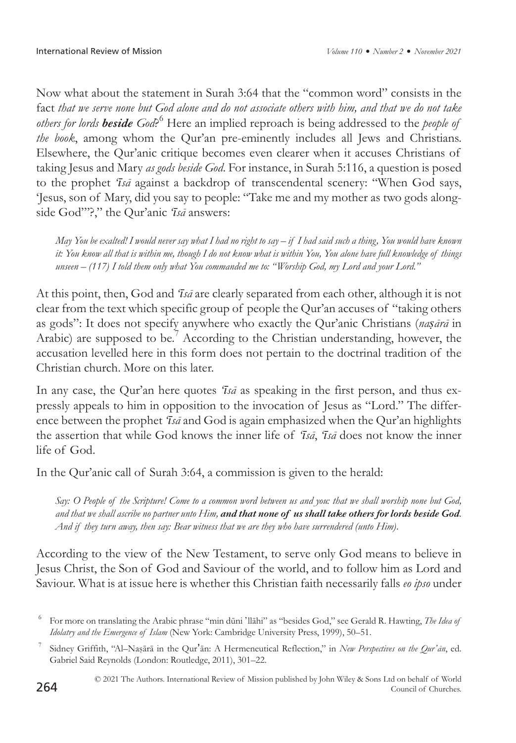Now what about the statement in Surah 3:64 that the "common word" consists in the fact *that we serve none but God alone and do not associate others with him, and that we do not take*  others for lords **beside** God?<sup>6</sup> Here an implied reproach is being addressed to the *people of the book*, among whom the Qur'an pre-eminently includes all Jews and Christians. Elsewhere, the Qur'anic critique becomes even clearer when it accuses Christians of taking Jesus and Mary *as gods beside God*. For instance, in Surah 5:116, a question is posed to the prophet *'īsā* against a backdrop of transcendental scenery: "When God says, 'Jesus, son of Mary, did you say to people: "Take me and my mother as two gods alongside God"'?," the Qur'anic *'īsā* answers:

*May You be exalted! I would never say what I had no right to say – if I had said such a thing, You would have known it: You know all that is within me, though I do not know what is within You, You alone have full knowledge of things unseen – (117) I told them only what You commanded me to: "Worship God, my Lord and your Lord."*

At this point, then, God and *'īsā* are clearly separated from each other, although it is not clear from the text which specific group of people the Qur'an accuses of "taking others as gods": It does not specify anywhere who exactly the Qur'anic Christians (*naṣārā* in Arabic) are supposed to be.<sup>7</sup> According to the Christian understanding, however, the accusation levelled here in this form does not pertain to the doctrinal tradition of the Christian church. More on this later.

In any case, the Qur'an here quotes *'īsā* as speaking in the first person, and thus expressly appeals to him in opposition to the invocation of Jesus as "Lord." The difference between the prophet *'īsā* and God is again emphasized when the Qur'an highlights the assertion that while God knows the inner life of *'īsā*, *'īsā* does not know the inner life of God.

In the Qur'anic call of Surah 3:64, a commission is given to the herald:

*Say: O People of the Scripture! Come to a common word between us and you: that we shall worship none but God, and that we shall ascribe no partner unto Him, and that none of us shall take others for lords beside God. And if they turn away, then say: Bear witness that we are they who have surrendered (unto Him)*.

According to the view of the New Testament, to serve only God means to believe in Jesus Christ, the Son of God and Saviour of the world, and to follow him as Lord and Saviour. What is at issue here is whether this Christian faith necessarily falls *eo ipso* under

<sup>6</sup> For more on translating the Arabic phrase "min dūni 'llāhi" as "besides God," see Gerald R. Hawting, *The Idea of Idolatry and the Emergence of Islam* (New York: Cambridge University Press, 1999), 50–51.

<sup>7</sup> Sidney Griffith, "Al–Naṣārā in the Qur'ān: A Hermeneutical Reflection," in *New Perspectives on the Qur'ān*, ed. Gabriel Said Reynolds (London: Routledge, 2011), 301–22.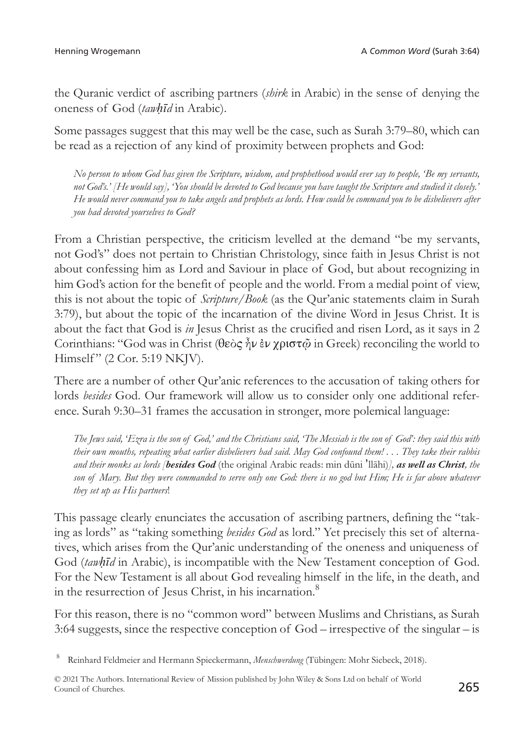the Quranic verdict of ascribing partners (*shirk* in Arabic) in the sense of denying the oneness of God (*tawḥīd* in Arabic).

Some passages suggest that this may well be the case, such as Surah 3:79–80, which can be read as a rejection of any kind of proximity between prophets and God:

*No person to whom God has given the Scripture, wisdom, and prophethood would ever say to people, 'Be my servants, not God's.' [He would say], 'You should be devoted to God because you have taught the Scripture and studied it closely.' He would never command you to take angels and prophets as lords. How could he command you to be disbelievers after you had devoted yourselves to God?*

From a Christian perspective, the criticism levelled at the demand "be my servants, not God's" does not pertain to Christian Christology, since faith in Jesus Christ is not about confessing him as Lord and Saviour in place of God, but about recognizing in him God's action for the benefit of people and the world. From a medial point of view, this is not about the topic of *Scripture/Book* (as the Qur'anic statements claim in Surah 3:79), but about the topic of the incarnation of the divine Word in Jesus Christ. It is about the fact that God is *in* Jesus Christ as the crucified and risen Lord, as it says in 2 Corinthians: "God was in Christ (θεὸς ἦν ἐν χριστ*ῷ* in Greek) reconciling the world to Himself" (2 Cor. 5:19 NKJV).

There are a number of other Qur'anic references to the accusation of taking others for lords *besides* God. Our framework will allow us to consider only one additional reference. Surah 9:30–31 frames the accusation in stronger, more polemical language:

*The Jews said, 'Ezra is the son of God,' and the Christians said, 'The Messiah is the son of God': they said this with their own mouths, repeating what earlier disbelievers had said. May God confound them! . . . They take their rabbis and their monks as lords [besides God* (the original Arabic reads: min dūni 'llāhi)*], as well as Christ, the son of Mary. But they were commanded to serve only one God: there is no god but Him; He is far above whatever they set up as His partners*!

This passage clearly enunciates the accusation of ascribing partners, defining the "taking as lords" as "taking something *besides God* as lord." Yet precisely this set of alternatives, which arises from the Qur'anic understanding of the oneness and uniqueness of God (*tawḥīd* in Arabic), is incompatible with the New Testament conception of God. For the New Testament is all about God revealing himself in the life, in the death, and in the resurrection of Jesus Christ, in his incarnation.<sup>8</sup>

For this reason, there is no "common word" between Muslims and Christians, as Surah 3:64 suggests, since the respective conception of God – irrespective of the singular – is

<sup>8</sup> Reinhard Feldmeier and Hermann Spieckermann, *Menschwerdung* (Tübingen: Mohr Siebeck, 2018).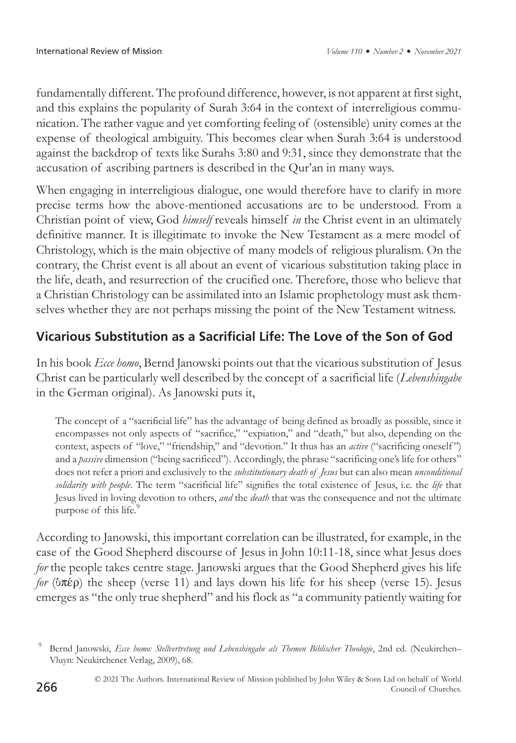fundamentally different. The profound difference, however, is not apparent at first sight, and this explains the popularity of Surah 3:64 in the context of interreligious communication. The rather vague and yet comforting feeling of (ostensible) unity comes at the expense of theological ambiguity. This becomes clear when Surah 3:64 is understood against the backdrop of texts like Surahs 3:80 and 9:31, since they demonstrate that the accusation of ascribing partners is described in the Qur'an in many ways.

When engaging in interreligious dialogue, one would therefore have to clarify in more precise terms how the above-mentioned accusations are to be understood. From a Christian point of view, God *himself* reveals himself *in* the Christ event in an ultimately definitive manner. It is illegitimate to invoke the New Testament as a mere model of Christology, which is the main objective of many models of religious pluralism. On the contrary, the Christ event is all about an event of vicarious substitution taking place in the life, death, and resurrection of the crucified one. Therefore, those who believe that a Christian Christology can be assimilated into an Islamic prophetology must ask themselves whether they are not perhaps missing the point of the New Testament witness.

# **Vicarious Substitution as a Sacrificial Life: The Love of the Son of God**

In his book *Ecce homo*, Bernd Janowski points out that the vicarious substitution of Jesus Christ can be particularly well described by the concept of a sacrificial life (*Lebenshingabe* in the German original). As Janowski puts it,

The concept of a "sacrificial life" has the advantage of being defined as broadly as possible, since it encompasses not only aspects of "sacrifice," "expiation," and "death," but also, depending on the context, aspects of "love," "friendship," and "devotion." It thus has an *active* ("sacrificing oneself ") and a *passive* dimension ("being sacrificed"). Accordingly, the phrase "sacrificing one's life for others" does not refer a priori and exclusively to the *substitutionary death of Jesus* but can also mean *unconditional solidarity with people*. The term "sacrificial life" signifies the total existence of Jesus, i.e. the *life* that Jesus lived in loving devotion to others, *and* the *death* that was the consequence and not the ultimate purpose of this life.<sup>9</sup>

According to Janowski, this important correlation can be illustrated, for example, in the case of the Good Shepherd discourse of Jesus in John 10:11-18, since what Jesus does *for* the people takes centre stage. Janowski argues that the Good Shepherd gives his life *for* (ὑπέρ) the sheep (verse 11) and lays down his life for his sheep (verse 15). Jesus emerges as "the only true shepherd" and his flock as "a community patiently waiting for

<sup>9</sup> Bernd Janowski, *Ecce homo: Stellvertretung und Lebenshingabe als Themen Biblischer Theologie*, 2nd ed. (Neukirchen– Vluyn: Neukirchener Verlag, 2009), 68.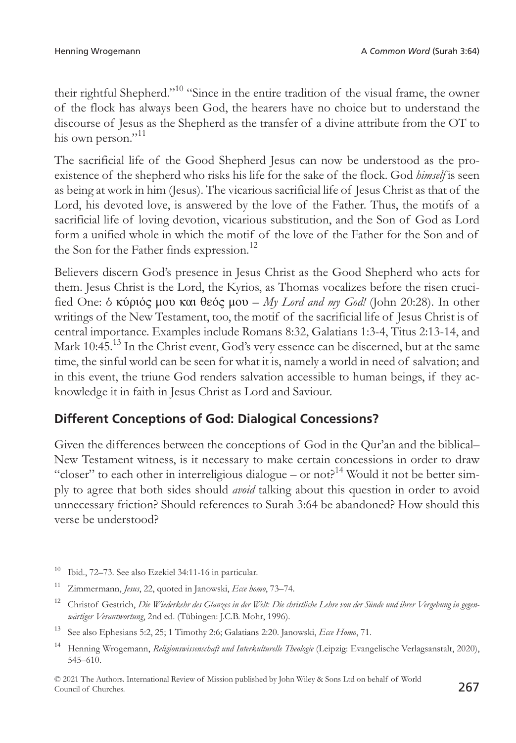their rightful Shepherd."10 "Since in the entire tradition of the visual frame, the owner of the flock has always been God, the hearers have no choice but to understand the discourse of Jesus as the Shepherd as the transfer of a divine attribute from the OT to his own person." $^{11}$ 

The sacrificial life of the Good Shepherd Jesus can now be understood as the proexistence of the shepherd who risks his life for the sake of the flock. God *himself* is seen as being at work in him (Jesus). The vicarious sacrificial life of Jesus Christ as that of the Lord, his devoted love, is answered by the love of the Father. Thus, the motifs of a sacrificial life of loving devotion, vicarious substitution, and the Son of God as Lord form a unified whole in which the motif of the love of the Father for the Son and of the Son for the Father finds expression.<sup>12</sup>

Believers discern God's presence in Jesus Christ as the Good Shepherd who acts for them. Jesus Christ is the Lord, the Kyrios, as Thomas vocalizes before the risen crucified One: ὁ κύριός μου και θεός μου – *My Lord and my God!* (John 20:28). In other writings of the New Testament, too, the motif of the sacrificial life of Jesus Christ is of central importance. Examples include Romans 8:32, Galatians 1:3-4, Titus 2:13-14, and Mark 10:45.<sup>13</sup> In the Christ event, God's very essence can be discerned, but at the same time, the sinful world can be seen for what it is, namely a world in need of salvation; and in this event, the triune God renders salvation accessible to human beings, if they acknowledge it in faith in Jesus Christ as Lord and Saviour.

# **Different Conceptions of God: Dialogical Concessions?**

Given the differences between the conceptions of God in the Qur'an and the biblical– New Testament witness, is it necessary to make certain concessions in order to draw "closer" to each other in interreligious dialogue – or not?<sup>14</sup> Would it not be better simply to agree that both sides should *avoid* talking about this question in order to avoid unnecessary friction? Should references to Surah 3:64 be abandoned? How should this verse be understood?

 $10$  Ibid., 72–73. See also Ezekiel 34:11-16 in particular.

<sup>11</sup> Zimmermann, *Jesus*, 22, quoted in Janowski, *Ecce homo*, 73–74.

<sup>12</sup> Christof Gestrich, *Die Wiederkehr des Glanzes in der Welt: Die christliche Lehre von der Sünde und ihrer Vergebung in gegenwärtiger Verantwortung*, 2nd ed. (Tübingen: J.C.B. Mohr, 1996).

<sup>13</sup> See also Ephesians 5:2, 25; 1 Timothy 2:6; Galatians 2:20. Janowski, *Ecce Homo*, 71.

<sup>14</sup> Henning Wrogemann, *Religionswissenschaft und Interkulturelle Theologie* (Leipzig: Evangelische Verlagsanstalt, 2020), 545–610.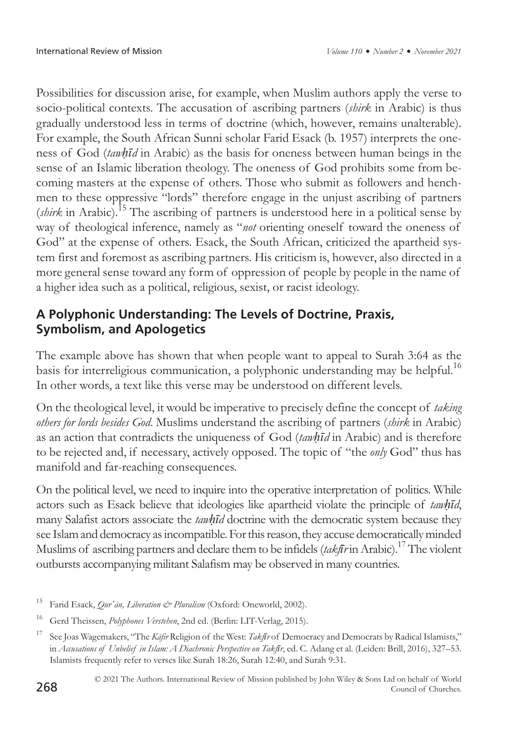Possibilities for discussion arise, for example, when Muslim authors apply the verse to socio-political contexts. The accusation of ascribing partners (*shirk* in Arabic) is thus gradually understood less in terms of doctrine (which, however, remains unalterable). For example, the South African Sunni scholar Farid Esack (b. 1957) interprets the oneness of God (*tawḥīd* in Arabic) as the basis for oneness between human beings in the sense of an Islamic liberation theology. The oneness of God prohibits some from becoming masters at the expense of others. Those who submit as followers and henchmen to these oppressive "lords" therefore engage in the unjust ascribing of partners (*shirk* in Arabic).<sup>15</sup> The ascribing of partners is understood here in a political sense by way of theological inference, namely as "*not* orienting oneself toward the oneness of God" at the expense of others. Esack, the South African, criticized the apartheid system first and foremost as ascribing partners. His criticism is, however, also directed in a more general sense toward any form of oppression of people by people in the name of a higher idea such as a political, religious, sexist, or racist ideology.

# **A Polyphonic Understanding: The Levels of Doctrine, Praxis, Symbolism, and Apologetics**

The example above has shown that when people want to appeal to Surah 3:64 as the basis for interreligious communication, a polyphonic understanding may be helpful.<sup>16</sup> In other words, a text like this verse may be understood on different levels.

On the theological level, it would be imperative to precisely define the concept of *taking others for lords besides God*. Muslims understand the ascribing of partners (*shirk* in Arabic) as an action that contradicts the uniqueness of God (*tawḥīd* in Arabic) and is therefore to be rejected and, if necessary, actively opposed. The topic of "the *only* God" thus has manifold and far-reaching consequences.

On the political level, we need to inquire into the operative interpretation of politics. While actors such as Esack believe that ideologies like apartheid violate the principle of *tawḥīd*, many Salafist actors associate the *tawḥīd* doctrine with the democratic system because they see Islam and democracy as incompatible. For this reason, they accuse democratically minded Muslims of ascribing partners and declare them to be infidels (*takfir* in Arabic).<sup>17</sup> The violent outbursts accompanying militant Salafism may be observed in many countries.

<sup>&</sup>lt;sup>15</sup> Farid Esack, *Qur'an, Liberation & Pluralism* (Oxford: Oneworld, 2002).

<sup>16</sup> Gerd Theissen, *Polyphones Verstehen*, 2nd ed. (Berlin: LIT-Verlag, 2015).

<sup>17</sup> See Joas Wagemakers, "The *Kāfir* Religion of the West: *Takfīr* of Democracy and Democrats by Radical Islamists," in *Accusations of Unbelief in Islam: A Diachronic Perspective on Takfīr*, ed. C. Adang et al. (Leiden: Brill, 2016), 327–53. Islamists frequently refer to verses like Surah 18:26, Surah 12:40, and Surah 9:31.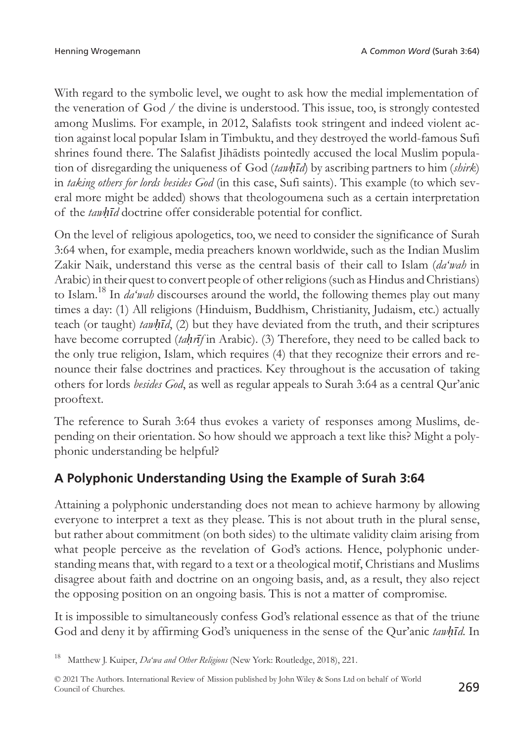With regard to the symbolic level, we ought to ask how the medial implementation of the veneration of God / the divine is understood. This issue, too, is strongly contested among Muslims. For example, in 2012, Salafists took stringent and indeed violent action against local popular Islam in Timbuktu, and they destroyed the world-famous Sufi shrines found there. The Salafist Jihādists pointedly accused the local Muslim population of disregarding the uniqueness of God (*tawḥīd*) by ascribing partners to him (*shirk*) in *taking others for lords besides God* (in this case, Sufi saints). This example (to which several more might be added) shows that theologoumena such as a certain interpretation of the *tawḥīd* doctrine offer considerable potential for conflict.

On the level of religious apologetics, too, we need to consider the significance of Surah 3:64 when, for example, media preachers known worldwide, such as the Indian Muslim Zakir Naik, understand this verse as the central basis of their call to Islam (*da'wah* in Arabic) in their quest to convert people of other religions (such as Hindus and Christians) to Islam.18 In *da'wah* discourses around the world, the following themes play out many times a day: (1) All religions (Hinduism, Buddhism, Christianity, Judaism, etc.) actually teach (or taught) *tawḥīd*, (2) but they have deviated from the truth, and their scriptures have become corrupted (*taḥrīf* in Arabic). (3) Therefore, they need to be called back to the only true religion, Islam, which requires (4) that they recognize their errors and renounce their false doctrines and practices. Key throughout is the accusation of taking others for lords *besides God*, as well as regular appeals to Surah 3:64 as a central Qur'anic prooftext.

The reference to Surah 3:64 thus evokes a variety of responses among Muslims, depending on their orientation. So how should we approach a text like this? Might a polyphonic understanding be helpful?

# **A Polyphonic Understanding Using the Example of Surah 3:64**

Attaining a polyphonic understanding does not mean to achieve harmony by allowing everyone to interpret a text as they please. This is not about truth in the plural sense, but rather about commitment (on both sides) to the ultimate validity claim arising from what people perceive as the revelation of God's actions. Hence, polyphonic understanding means that, with regard to a text or a theological motif, Christians and Muslims disagree about faith and doctrine on an ongoing basis, and, as a result, they also reject the opposing position on an ongoing basis. This is not a matter of compromise.

It is impossible to simultaneously confess God's relational essence as that of the triune God and deny it by affirming God's uniqueness in the sense of the Qur'anic *tawḥīd*. In

<sup>18</sup> Matthew J. Kuiper, *Da'wa and Other Religions* (New York: Routledge, 2018), 221.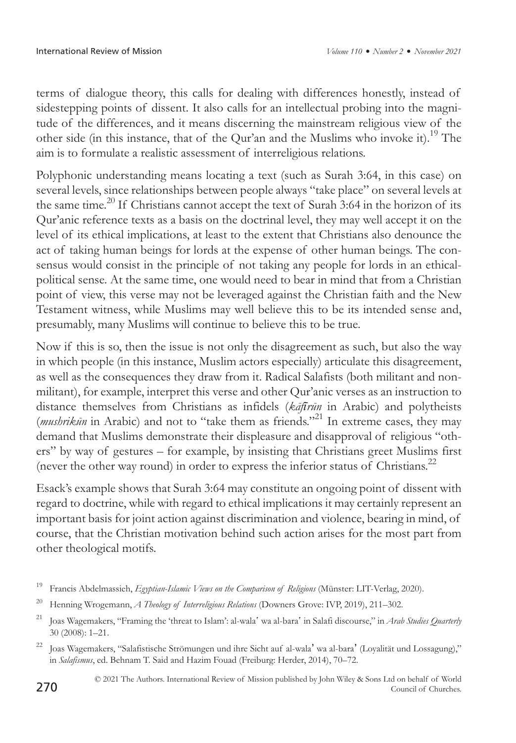terms of dialogue theory, this calls for dealing with differences honestly, instead of sidestepping points of dissent. It also calls for an intellectual probing into the magnitude of the differences, and it means discerning the mainstream religious view of the other side (in this instance, that of the Qur'an and the Muslims who invoke it).<sup>19</sup> The aim is to formulate a realistic assessment of interreligious relations.

Polyphonic understanding means locating a text (such as Surah 3:64, in this case) on several levels, since relationships between people always "take place" on several levels at the same time.<sup>20</sup> If Christians cannot accept the text of Surah 3:64 in the horizon of its Qur'anic reference texts as a basis on the doctrinal level, they may well accept it on the level of its ethical implications, at least to the extent that Christians also denounce the act of taking human beings for lords at the expense of other human beings. The consensus would consist in the principle of not taking any people for lords in an ethicalpolitical sense. At the same time, one would need to bear in mind that from a Christian point of view, this verse may not be leveraged against the Christian faith and the New Testament witness, while Muslims may well believe this to be its intended sense and, presumably, many Muslims will continue to believe this to be true.

Now if this is so, then the issue is not only the disagreement as such, but also the way in which people (in this instance, Muslim actors especially) articulate this disagreement, as well as the consequences they draw from it. Radical Salafists (both militant and nonmilitant), for example, interpret this verse and other Qur'anic verses as an instruction to distance themselves from Christians as infidels (*kāfīrūn* in Arabic) and polytheists (*mushrikūn* in Arabic) and not to "take them as friends."21 In extreme cases, they may demand that Muslims demonstrate their displeasure and disapproval of religious "others" by way of gestures – for example, by insisting that Christians greet Muslims first (never the other way round) in order to express the inferior status of Christians.<sup>22</sup>

Esack's example shows that Surah 3:64 may constitute an ongoing point of dissent with regard to doctrine, while with regard to ethical implications it may certainly represent an important basis for joint action against discrimination and violence, bearing in mind, of course, that the Christian motivation behind such action arises for the most part from other theological motifs.

<sup>19</sup> Francis Abdelmassieh, *Egyptian-Islamic Views on the Comparison of Religions* (Münster: LIT-Verlag, 2020).

<sup>20</sup> Henning Wrogemann, *A Theology of Interreligious Relations* (Downers Grove: IVP, 2019), 211–302.

<sup>&</sup>lt;sup>21</sup> Joas Wagemakers, "Framing the 'threat to Islam': al-wala' wa al-bara' in Salafi discourse," in *Arab Studies Quarterly* 30 (2008): 1–21.

<sup>22</sup> Joas Wagemakers, "Salafistische Strömungen und ihre Sicht auf al-wala' wa al-bara' (Loyalität und Lossagung)," in *Salafismus*, ed. Behnam T. Said and Hazim Fouad (Freiburg: Herder, 2014), 70–72.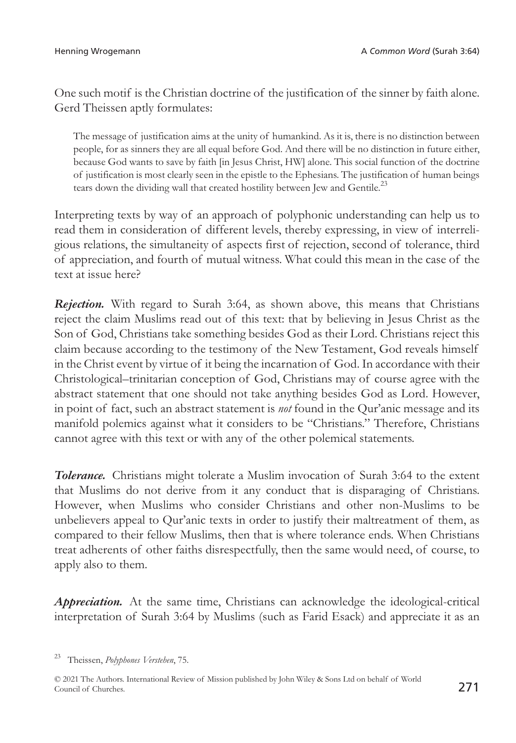One such motif is the Christian doctrine of the justification of the sinner by faith alone. Gerd Theissen aptly formulates:

The message of justification aims at the unity of humankind. As it is, there is no distinction between people, for as sinners they are all equal before God. And there will be no distinction in future either, because God wants to save by faith [in Jesus Christ, HW] alone. This social function of the doctrine of justification is most clearly seen in the epistle to the Ephesians. The justification of human beings tears down the dividing wall that created hostility between Jew and Gentile.<sup>23</sup>

Interpreting texts by way of an approach of polyphonic understanding can help us to read them in consideration of different levels, thereby expressing, in view of interreligious relations, the simultaneity of aspects first of rejection, second of tolerance, third of appreciation, and fourth of mutual witness. What could this mean in the case of the text at issue here?

*Rejection.* With regard to Surah 3:64, as shown above, this means that Christians reject the claim Muslims read out of this text: that by believing in Jesus Christ as the Son of God, Christians take something besides God as their Lord. Christians reject this claim because according to the testimony of the New Testament, God reveals himself in the Christ event by virtue of it being the incarnation of God. In accordance with their Christological–trinitarian conception of God, Christians may of course agree with the abstract statement that one should not take anything besides God as Lord. However, in point of fact, such an abstract statement is *not* found in the Qur'anic message and its manifold polemics against what it considers to be "Christians." Therefore, Christians cannot agree with this text or with any of the other polemical statements.

*Tolerance.* Christians might tolerate a Muslim invocation of Surah 3:64 to the extent that Muslims do not derive from it any conduct that is disparaging of Christians. However, when Muslims who consider Christians and other non-Muslims to be unbelievers appeal to Qur'anic texts in order to justify their maltreatment of them, as compared to their fellow Muslims, then that is where tolerance ends. When Christians treat adherents of other faiths disrespectfully, then the same would need, of course, to apply also to them.

*Appreciation.* At the same time, Christians can acknowledge the ideological-critical interpretation of Surah 3:64 by Muslims (such as Farid Esack) and appreciate it as an

<sup>23</sup> Theissen, *Polyphones Verstehen*, 75.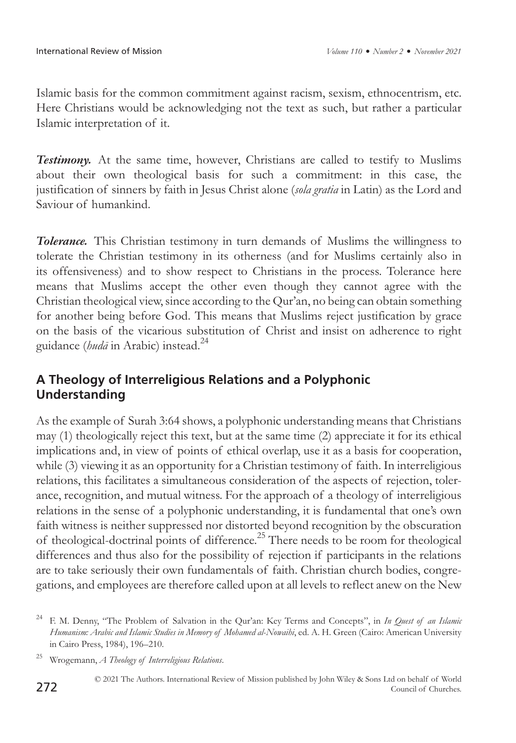Islamic basis for the common commitment against racism, sexism, ethnocentrism, etc. Here Christians would be acknowledging not the text as such, but rather a particular Islamic interpretation of it.

**Testimony.** At the same time, however, Christians are called to testify to Muslims about their own theological basis for such a commitment: in this case, the justification of sinners by faith in Jesus Christ alone (*sola gratia* in Latin) as the Lord and Saviour of humankind.

*Tolerance.* This Christian testimony in turn demands of Muslims the willingness to tolerate the Christian testimony in its otherness (and for Muslims certainly also in its offensiveness) and to show respect to Christians in the process. Tolerance here means that Muslims accept the other even though they cannot agree with the Christian theological view, since according to the Qur'an, no being can obtain something for another being before God. This means that Muslims reject justification by grace on the basis of the vicarious substitution of Christ and insist on adherence to right guidance (*hudā* in Arabic) instead.24

#### **A Theology of Interreligious Relations and a Polyphonic Understanding**

As the example of Surah 3:64 shows, a polyphonic understanding means that Christians may (1) theologically reject this text, but at the same time (2) appreciate it for its ethical implications and, in view of points of ethical overlap, use it as a basis for cooperation, while (3) viewing it as an opportunity for a Christian testimony of faith. In interreligious relations, this facilitates a simultaneous consideration of the aspects of rejection, tolerance, recognition, and mutual witness. For the approach of a theology of interreligious relations in the sense of a polyphonic understanding, it is fundamental that one's own faith witness is neither suppressed nor distorted beyond recognition by the obscuration of theological-doctrinal points of difference.<sup>25</sup> There needs to be room for theological differences and thus also for the possibility of rejection if participants in the relations are to take seriously their own fundamentals of faith. Christian church bodies, congregations, and employees are therefore called upon at all levels to reflect anew on the New

<sup>24</sup> F. M. Denny, "The Problem of Salvation in the Qur'an: Key Terms and Concepts", in *In Quest of an Islamic Humanism: Arabic and Islamic Studies in Memory of Mohamed al-Nowaihi*, ed. A. H. Green (Cairo: American University in Cairo Press, 1984), 196–210.

<sup>25</sup> Wrogemann, *A Theology of Interreligious Relations*.